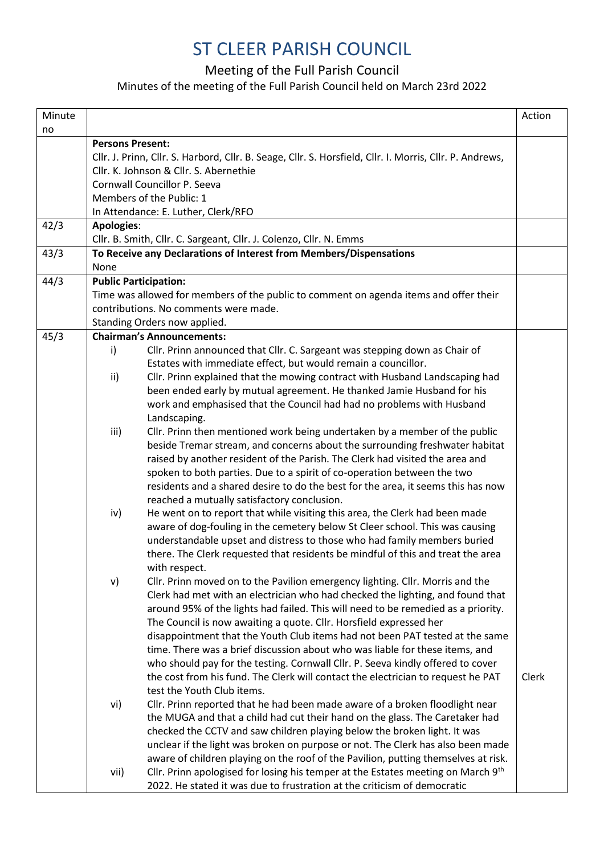## ST CLEER PARISH COUNCIL

## Meeting of the Full Parish Council

## Minutes of the meeting of the Full Parish Council held on March 23rd 2022

| Minute |                                                                                       |                                                                                                                                                    | Action |
|--------|---------------------------------------------------------------------------------------|----------------------------------------------------------------------------------------------------------------------------------------------------|--------|
| no     |                                                                                       |                                                                                                                                                    |        |
|        | <b>Persons Present:</b>                                                               |                                                                                                                                                    |        |
|        |                                                                                       | Cllr. J. Prinn, Cllr. S. Harbord, Cllr. B. Seage, Cllr. S. Horsfield, Cllr. I. Morris, Cllr. P. Andrews,<br>Cllr. K. Johnson & Cllr. S. Abernethie |        |
|        |                                                                                       | Cornwall Councillor P. Seeva                                                                                                                       |        |
|        |                                                                                       | Members of the Public: 1                                                                                                                           |        |
|        |                                                                                       |                                                                                                                                                    |        |
| 42/3   |                                                                                       | In Attendance: E. Luther, Clerk/RFO                                                                                                                |        |
|        | <b>Apologies:</b>                                                                     | Cllr. B. Smith, Cllr. C. Sargeant, Cllr. J. Colenzo, Cllr. N. Emms                                                                                 |        |
| 43/3   |                                                                                       | To Receive any Declarations of Interest from Members/Dispensations                                                                                 |        |
|        | None                                                                                  |                                                                                                                                                    |        |
| 44/3   | <b>Public Participation:</b>                                                          |                                                                                                                                                    |        |
|        | Time was allowed for members of the public to comment on agenda items and offer their |                                                                                                                                                    |        |
|        |                                                                                       | contributions. No comments were made.                                                                                                              |        |
|        |                                                                                       | Standing Orders now applied.                                                                                                                       |        |
| 45/3   |                                                                                       | <b>Chairman's Announcements:</b>                                                                                                                   |        |
|        | i)                                                                                    | Cllr. Prinn announced that Cllr. C. Sargeant was stepping down as Chair of                                                                         |        |
|        |                                                                                       | Estates with immediate effect, but would remain a councillor.                                                                                      |        |
|        | ii)                                                                                   | Cllr. Prinn explained that the mowing contract with Husband Landscaping had                                                                        |        |
|        |                                                                                       | been ended early by mutual agreement. He thanked Jamie Husband for his                                                                             |        |
|        |                                                                                       | work and emphasised that the Council had had no problems with Husband                                                                              |        |
|        |                                                                                       | Landscaping.                                                                                                                                       |        |
|        | iii)                                                                                  | Cllr. Prinn then mentioned work being undertaken by a member of the public                                                                         |        |
|        |                                                                                       | beside Tremar stream, and concerns about the surrounding freshwater habitat                                                                        |        |
|        |                                                                                       | raised by another resident of the Parish. The Clerk had visited the area and                                                                       |        |
|        |                                                                                       | spoken to both parties. Due to a spirit of co-operation between the two                                                                            |        |
|        |                                                                                       | residents and a shared desire to do the best for the area, it seems this has now                                                                   |        |
|        |                                                                                       | reached a mutually satisfactory conclusion.                                                                                                        |        |
|        | iv)                                                                                   | He went on to report that while visiting this area, the Clerk had been made                                                                        |        |
|        |                                                                                       | aware of dog-fouling in the cemetery below St Cleer school. This was causing                                                                       |        |
|        |                                                                                       | understandable upset and distress to those who had family members buried                                                                           |        |
|        |                                                                                       | there. The Clerk requested that residents be mindful of this and treat the area                                                                    |        |
|        |                                                                                       | with respect.                                                                                                                                      |        |
|        | v)                                                                                    | Cllr. Prinn moved on to the Pavilion emergency lighting. Cllr. Morris and the                                                                      |        |
|        |                                                                                       | Clerk had met with an electrician who had checked the lighting, and found that                                                                     |        |
|        |                                                                                       | around 95% of the lights had failed. This will need to be remedied as a priority.                                                                  |        |
|        |                                                                                       | The Council is now awaiting a quote. Cllr. Horsfield expressed her                                                                                 |        |
|        |                                                                                       | disappointment that the Youth Club items had not been PAT tested at the same                                                                       |        |
|        |                                                                                       | time. There was a brief discussion about who was liable for these items, and                                                                       |        |
|        |                                                                                       | who should pay for the testing. Cornwall Cllr. P. Seeva kindly offered to cover                                                                    |        |
|        |                                                                                       | the cost from his fund. The Clerk will contact the electrician to request he PAT                                                                   | Clerk  |
|        |                                                                                       | test the Youth Club items.                                                                                                                         |        |
|        | vi)                                                                                   | Cllr. Prinn reported that he had been made aware of a broken floodlight near                                                                       |        |
|        |                                                                                       | the MUGA and that a child had cut their hand on the glass. The Caretaker had                                                                       |        |
|        |                                                                                       | checked the CCTV and saw children playing below the broken light. It was                                                                           |        |
|        |                                                                                       | unclear if the light was broken on purpose or not. The Clerk has also been made                                                                    |        |
|        |                                                                                       | aware of children playing on the roof of the Pavilion, putting themselves at risk.                                                                 |        |
|        | vii)                                                                                  | Cllr. Prinn apologised for losing his temper at the Estates meeting on March 9th                                                                   |        |
|        |                                                                                       | 2022. He stated it was due to frustration at the criticism of democratic                                                                           |        |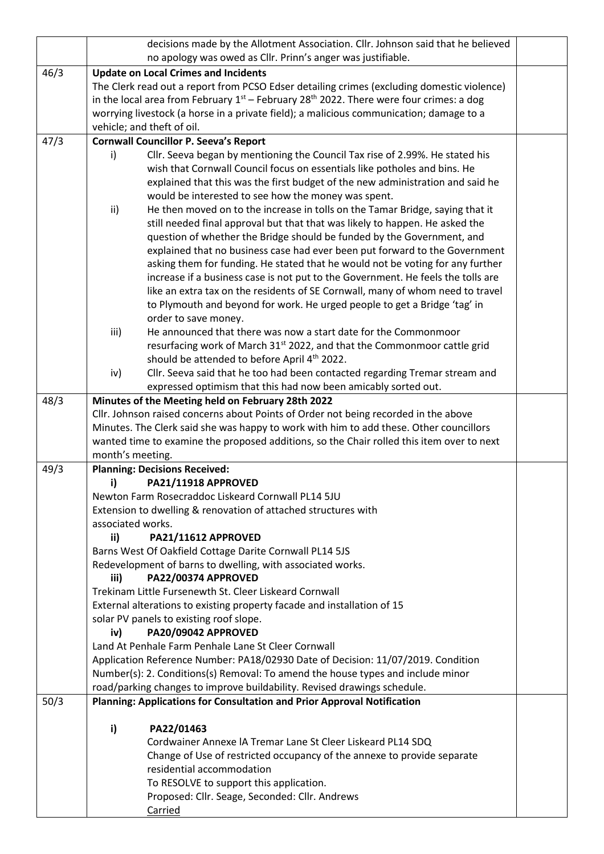|      | decisions made by the Allotment Association. Cllr. Johnson said that he believed                         |                                                                                            |  |  |  |
|------|----------------------------------------------------------------------------------------------------------|--------------------------------------------------------------------------------------------|--|--|--|
|      |                                                                                                          | no apology was owed as Cllr. Prinn's anger was justifiable.                                |  |  |  |
| 46/3 | <b>Update on Local Crimes and Incidents</b>                                                              |                                                                                            |  |  |  |
|      |                                                                                                          | The Clerk read out a report from PCSO Edser detailing crimes (excluding domestic violence) |  |  |  |
|      | in the local area from February $1^{st}$ – February 28 <sup>th</sup> 2022. There were four crimes: a dog |                                                                                            |  |  |  |
|      | worrying livestock (a horse in a private field); a malicious communication; damage to a                  |                                                                                            |  |  |  |
|      |                                                                                                          | vehicle; and theft of oil.                                                                 |  |  |  |
| 47/3 |                                                                                                          | <b>Cornwall Councillor P. Seeva's Report</b>                                               |  |  |  |
|      | i)                                                                                                       | Cllr. Seeva began by mentioning the Council Tax rise of 2.99%. He stated his               |  |  |  |
|      |                                                                                                          | wish that Cornwall Council focus on essentials like potholes and bins. He                  |  |  |  |
|      |                                                                                                          | explained that this was the first budget of the new administration and said he             |  |  |  |
|      |                                                                                                          | would be interested to see how the money was spent.                                        |  |  |  |
|      | ii)                                                                                                      | He then moved on to the increase in tolls on the Tamar Bridge, saying that it              |  |  |  |
|      |                                                                                                          | still needed final approval but that that was likely to happen. He asked the               |  |  |  |
|      |                                                                                                          | question of whether the Bridge should be funded by the Government, and                     |  |  |  |
|      |                                                                                                          | explained that no business case had ever been put forward to the Government                |  |  |  |
|      |                                                                                                          | asking them for funding. He stated that he would not be voting for any further             |  |  |  |
|      |                                                                                                          | increase if a business case is not put to the Government. He feels the tolls are           |  |  |  |
|      |                                                                                                          | like an extra tax on the residents of SE Cornwall, many of whom need to travel             |  |  |  |
|      |                                                                                                          | to Plymouth and beyond for work. He urged people to get a Bridge 'tag' in                  |  |  |  |
|      |                                                                                                          | order to save money.                                                                       |  |  |  |
|      | iii)                                                                                                     | He announced that there was now a start date for the Commonmoor                            |  |  |  |
|      |                                                                                                          | resurfacing work of March 31 <sup>st</sup> 2022, and that the Commonmoor cattle grid       |  |  |  |
|      |                                                                                                          | should be attended to before April 4th 2022.                                               |  |  |  |
|      | iv)                                                                                                      | Cllr. Seeva said that he too had been contacted regarding Tremar stream and                |  |  |  |
|      |                                                                                                          | expressed optimism that this had now been amicably sorted out.                             |  |  |  |
| 48/3 |                                                                                                          | Minutes of the Meeting held on February 28th 2022                                          |  |  |  |
|      |                                                                                                          | Cllr. Johnson raised concerns about Points of Order not being recorded in the above        |  |  |  |
|      |                                                                                                          | Minutes. The Clerk said she was happy to work with him to add these. Other councillors     |  |  |  |
|      |                                                                                                          | wanted time to examine the proposed additions, so the Chair rolled this item over to next  |  |  |  |
| 49/3 | month's meeting.<br><b>Planning: Decisions Received:</b>                                                 |                                                                                            |  |  |  |
|      | i)                                                                                                       | PA21/11918 APPROVED                                                                        |  |  |  |
|      |                                                                                                          | Newton Farm Rosecraddoc Liskeard Cornwall PL14 5JU                                         |  |  |  |
|      |                                                                                                          | Extension to dwelling & renovation of attached structures with                             |  |  |  |
|      | associated works.                                                                                        |                                                                                            |  |  |  |
|      | ii)                                                                                                      | PA21/11612 APPROVED                                                                        |  |  |  |
|      |                                                                                                          | Barns West Of Oakfield Cottage Darite Cornwall PL14 5JS                                    |  |  |  |
|      | Redevelopment of barns to dwelling, with associated works.                                               |                                                                                            |  |  |  |
|      | iii)                                                                                                     | PA22/00374 APPROVED                                                                        |  |  |  |
|      |                                                                                                          | Trekinam Little Fursenewth St. Cleer Liskeard Cornwall                                     |  |  |  |
|      | External alterations to existing property facade and installation of 15                                  |                                                                                            |  |  |  |
|      | solar PV panels to existing roof slope.                                                                  |                                                                                            |  |  |  |
|      | iv)                                                                                                      | PA20/09042 APPROVED                                                                        |  |  |  |
|      |                                                                                                          | Land At Penhale Farm Penhale Lane St Cleer Cornwall                                        |  |  |  |
|      |                                                                                                          | Application Reference Number: PA18/02930 Date of Decision: 11/07/2019. Condition           |  |  |  |
|      |                                                                                                          | Number(s): 2. Conditions(s) Removal: To amend the house types and include minor            |  |  |  |
|      |                                                                                                          | road/parking changes to improve buildability. Revised drawings schedule.                   |  |  |  |
| 50/3 |                                                                                                          | Planning: Applications for Consultation and Prior Approval Notification                    |  |  |  |
|      |                                                                                                          |                                                                                            |  |  |  |
|      | i)                                                                                                       | PA22/01463                                                                                 |  |  |  |
|      |                                                                                                          | Cordwainer Annexe IA Tremar Lane St Cleer Liskeard PL14 SDQ                                |  |  |  |
|      |                                                                                                          | Change of Use of restricted occupancy of the annexe to provide separate                    |  |  |  |
|      |                                                                                                          | residential accommodation                                                                  |  |  |  |
|      |                                                                                                          | To RESOLVE to support this application.                                                    |  |  |  |
|      |                                                                                                          | Proposed: Cllr. Seage, Seconded: Cllr. Andrews                                             |  |  |  |
|      |                                                                                                          | Carried                                                                                    |  |  |  |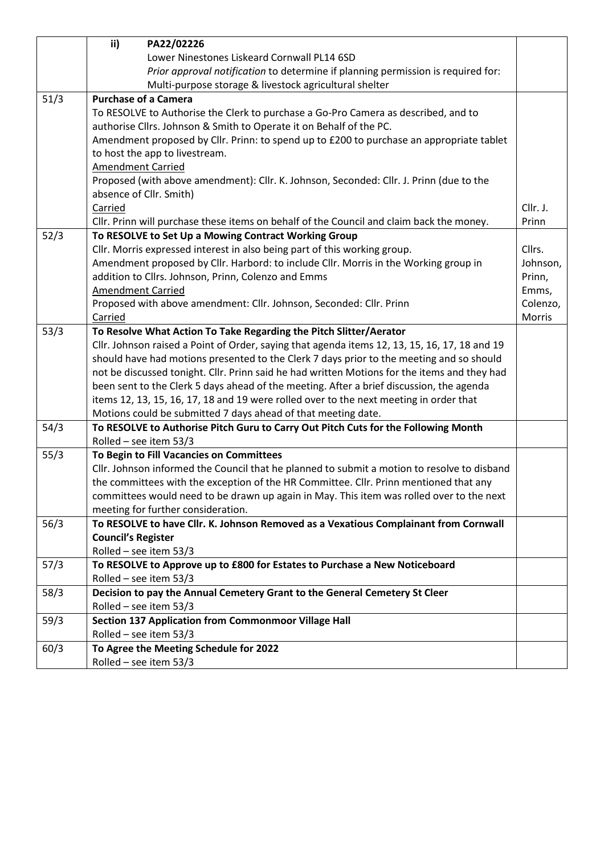|      | ii)<br>PA22/02226                                                                             |          |  |  |  |
|------|-----------------------------------------------------------------------------------------------|----------|--|--|--|
|      | Lower Ninestones Liskeard Cornwall PL14 6SD                                                   |          |  |  |  |
|      | Prior approval notification to determine if planning permission is required for:              |          |  |  |  |
|      | Multi-purpose storage & livestock agricultural shelter                                        |          |  |  |  |
| 51/3 | <b>Purchase of a Camera</b>                                                                   |          |  |  |  |
|      | To RESOLVE to Authorise the Clerk to purchase a Go-Pro Camera as described, and to            |          |  |  |  |
|      | authorise Cllrs. Johnson & Smith to Operate it on Behalf of the PC.                           |          |  |  |  |
|      | Amendment proposed by Cllr. Prinn: to spend up to £200 to purchase an appropriate tablet      |          |  |  |  |
|      | to host the app to livestream.                                                                |          |  |  |  |
|      | <b>Amendment Carried</b>                                                                      |          |  |  |  |
|      | Proposed (with above amendment): Cllr. K. Johnson, Seconded: Cllr. J. Prinn (due to the       |          |  |  |  |
|      | absence of Cllr. Smith)                                                                       |          |  |  |  |
|      | Carried                                                                                       | Cllr. J. |  |  |  |
|      | Cllr. Prinn will purchase these items on behalf of the Council and claim back the money.      | Prinn    |  |  |  |
| 52/3 | To RESOLVE to Set Up a Mowing Contract Working Group                                          |          |  |  |  |
|      | Cllr. Morris expressed interest in also being part of this working group.                     | Cllrs.   |  |  |  |
|      | Amendment proposed by Cllr. Harbord: to include Cllr. Morris in the Working group in          | Johnson, |  |  |  |
|      | addition to Cllrs. Johnson, Prinn, Colenzo and Emms                                           | Prinn,   |  |  |  |
|      | <b>Amendment Carried</b>                                                                      | Emms,    |  |  |  |
|      | Proposed with above amendment: Cllr. Johnson, Seconded: Cllr. Prinn                           | Colenzo, |  |  |  |
|      | Carried                                                                                       | Morris   |  |  |  |
| 53/3 | To Resolve What Action To Take Regarding the Pitch Slitter/Aerator                            |          |  |  |  |
|      | Cllr. Johnson raised a Point of Order, saying that agenda items 12, 13, 15, 16, 17, 18 and 19 |          |  |  |  |
|      | should have had motions presented to the Clerk 7 days prior to the meeting and so should      |          |  |  |  |
|      | not be discussed tonight. Cllr. Prinn said he had written Motions for the items and they had  |          |  |  |  |
|      | been sent to the Clerk 5 days ahead of the meeting. After a brief discussion, the agenda      |          |  |  |  |
|      | items 12, 13, 15, 16, 17, 18 and 19 were rolled over to the next meeting in order that        |          |  |  |  |
|      | Motions could be submitted 7 days ahead of that meeting date.                                 |          |  |  |  |
| 54/3 | To RESOLVE to Authorise Pitch Guru to Carry Out Pitch Cuts for the Following Month            |          |  |  |  |
|      | Rolled - see item 53/3                                                                        |          |  |  |  |
| 55/3 | To Begin to Fill Vacancies on Committees                                                      |          |  |  |  |
|      | Cllr. Johnson informed the Council that he planned to submit a motion to resolve to disband   |          |  |  |  |
|      | the committees with the exception of the HR Committee. Cllr. Prinn mentioned that any         |          |  |  |  |
|      | committees would need to be drawn up again in May. This item was rolled over to the next      |          |  |  |  |
|      | meeting for further consideration.                                                            |          |  |  |  |
| 56/3 | To RESOLVE to have Cllr. K. Johnson Removed as a Vexatious Complainant from Cornwall          |          |  |  |  |
|      | <b>Council's Register</b>                                                                     |          |  |  |  |
|      | Rolled - see item 53/3                                                                        |          |  |  |  |
| 57/3 | To RESOLVE to Approve up to £800 for Estates to Purchase a New Noticeboard                    |          |  |  |  |
|      | Rolled - see item 53/3                                                                        |          |  |  |  |
| 58/3 | Decision to pay the Annual Cemetery Grant to the General Cemetery St Cleer                    |          |  |  |  |
|      | Rolled - see item 53/3                                                                        |          |  |  |  |
| 59/3 | <b>Section 137 Application from Commonmoor Village Hall</b>                                   |          |  |  |  |
|      | Rolled - see item 53/3                                                                        |          |  |  |  |
| 60/3 | To Agree the Meeting Schedule for 2022                                                        |          |  |  |  |
|      | Rolled - see item 53/3                                                                        |          |  |  |  |